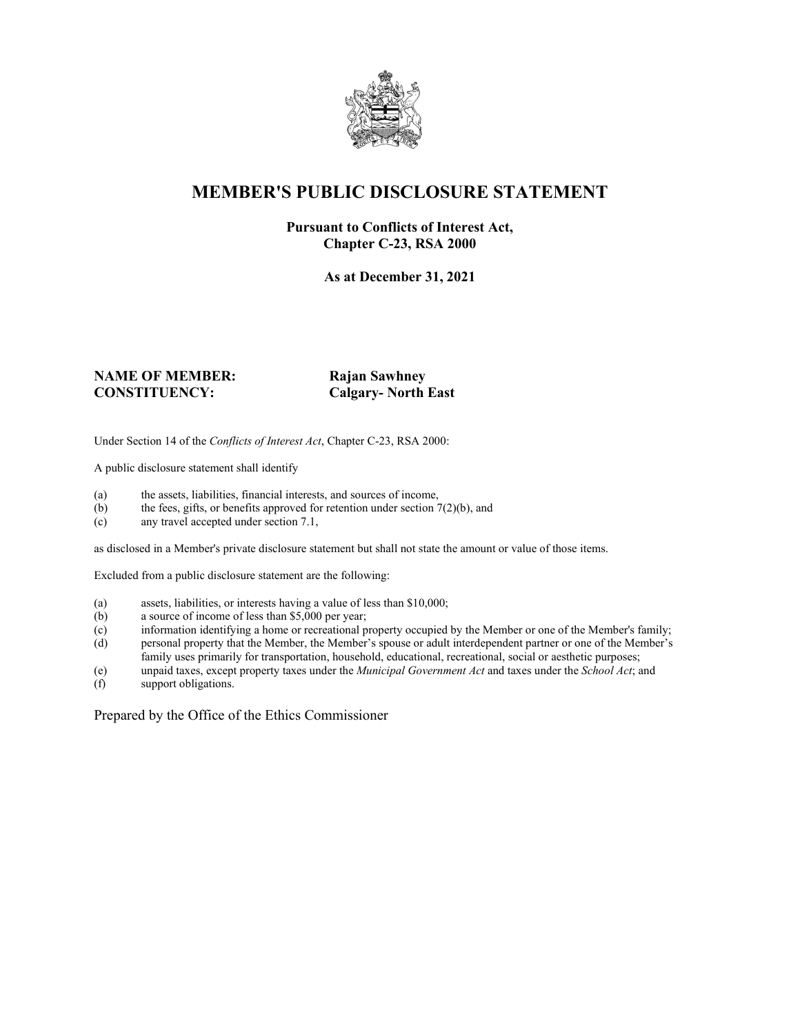

## **MEMBER'S PUBLIC DISCLOSURE STATEMENT**

#### **Pursuant to Conflicts of Interest Act, Chapter C-23, RSA 2000**

**As at December 31, 2021**

#### **NAME OF MEMBER: Rajan Sawhney CONSTITUENCY: Calgary- North East**

Under Section 14 of the *Conflicts of Interest Act*, Chapter C-23, RSA 2000:

A public disclosure statement shall identify

- (a) the assets, liabilities, financial interests, and sources of income,  $(b)$  the fees, gifts, or benefits approved for retention under section 7
- the fees, gifts, or benefits approved for retention under section  $7(2)(b)$ , and
- (c) any travel accepted under section 7.1,

as disclosed in a Member's private disclosure statement but shall not state the amount or value of those items.

Excluded from a public disclosure statement are the following:

- (a) assets, liabilities, or interests having a value of less than \$10,000;<br>(b) a source of income of less than \$5,000 per year;
- a source of income of less than  $$5,000$  per year;
- (c) information identifying a home or recreational property occupied by the Member or one of the Member's family;
- (d) personal property that the Member, the Member's spouse or adult interdependent partner or one of the Member's family uses primarily for transportation, household, educational, recreational, social or aesthetic purposes;
- (e) unpaid taxes, except property taxes under the *Municipal Government Act* and taxes under the *School Act*; and
- (f) support obligations.

Prepared by the Office of the Ethics Commissioner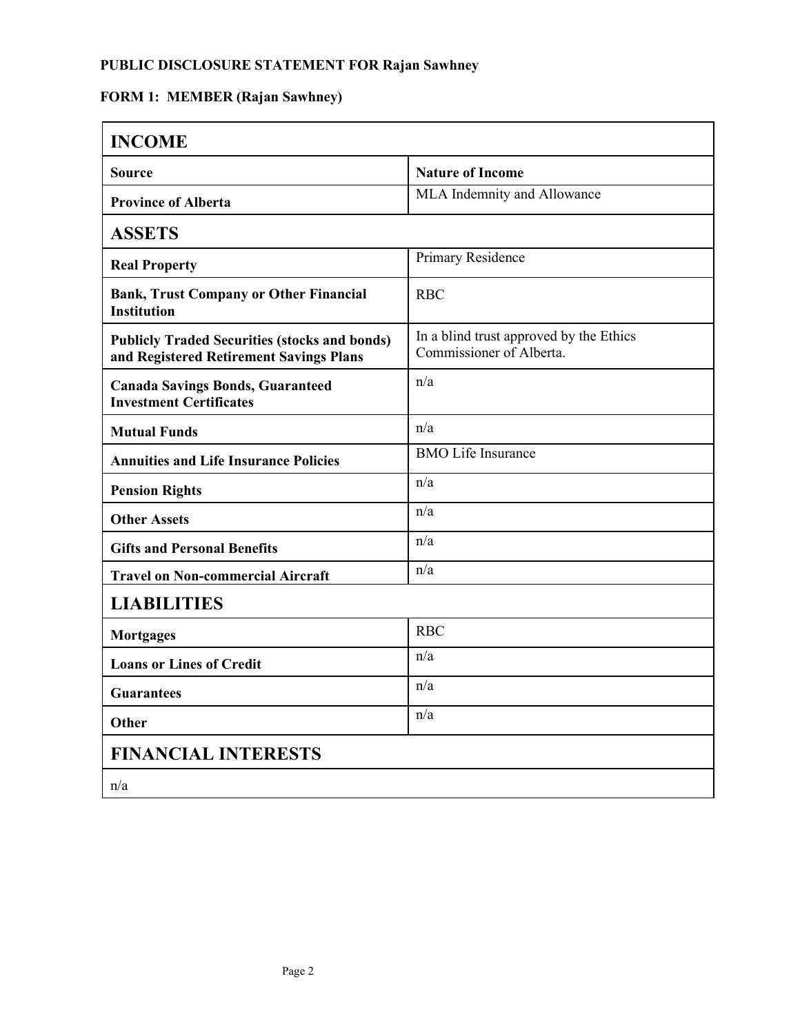# **FORM 1: MEMBER (Rajan Sawhney)**

| <b>INCOME</b>                                                                                   |                                                                     |  |
|-------------------------------------------------------------------------------------------------|---------------------------------------------------------------------|--|
| <b>Source</b>                                                                                   | <b>Nature of Income</b>                                             |  |
| <b>Province of Alberta</b>                                                                      | MLA Indemnity and Allowance                                         |  |
| <b>ASSETS</b>                                                                                   |                                                                     |  |
| <b>Real Property</b>                                                                            | Primary Residence                                                   |  |
| <b>Bank, Trust Company or Other Financial</b><br><b>Institution</b>                             | <b>RBC</b>                                                          |  |
| <b>Publicly Traded Securities (stocks and bonds)</b><br>and Registered Retirement Savings Plans | In a blind trust approved by the Ethics<br>Commissioner of Alberta. |  |
| <b>Canada Savings Bonds, Guaranteed</b><br><b>Investment Certificates</b>                       | n/a                                                                 |  |
| <b>Mutual Funds</b>                                                                             | n/a                                                                 |  |
| <b>Annuities and Life Insurance Policies</b>                                                    | <b>BMO</b> Life Insurance                                           |  |
| <b>Pension Rights</b>                                                                           | n/a                                                                 |  |
| <b>Other Assets</b>                                                                             | n/a                                                                 |  |
| <b>Gifts and Personal Benefits</b>                                                              | n/a                                                                 |  |
| <b>Travel on Non-commercial Aircraft</b>                                                        | n/a                                                                 |  |
| <b>LIABILITIES</b>                                                                              |                                                                     |  |
| <b>Mortgages</b>                                                                                | <b>RBC</b>                                                          |  |
| <b>Loans or Lines of Credit</b>                                                                 | n/a                                                                 |  |
| <b>Guarantees</b>                                                                               | n/a                                                                 |  |
| Other                                                                                           | n/a                                                                 |  |
| <b>FINANCIAL INTERESTS</b>                                                                      |                                                                     |  |
| n/a                                                                                             |                                                                     |  |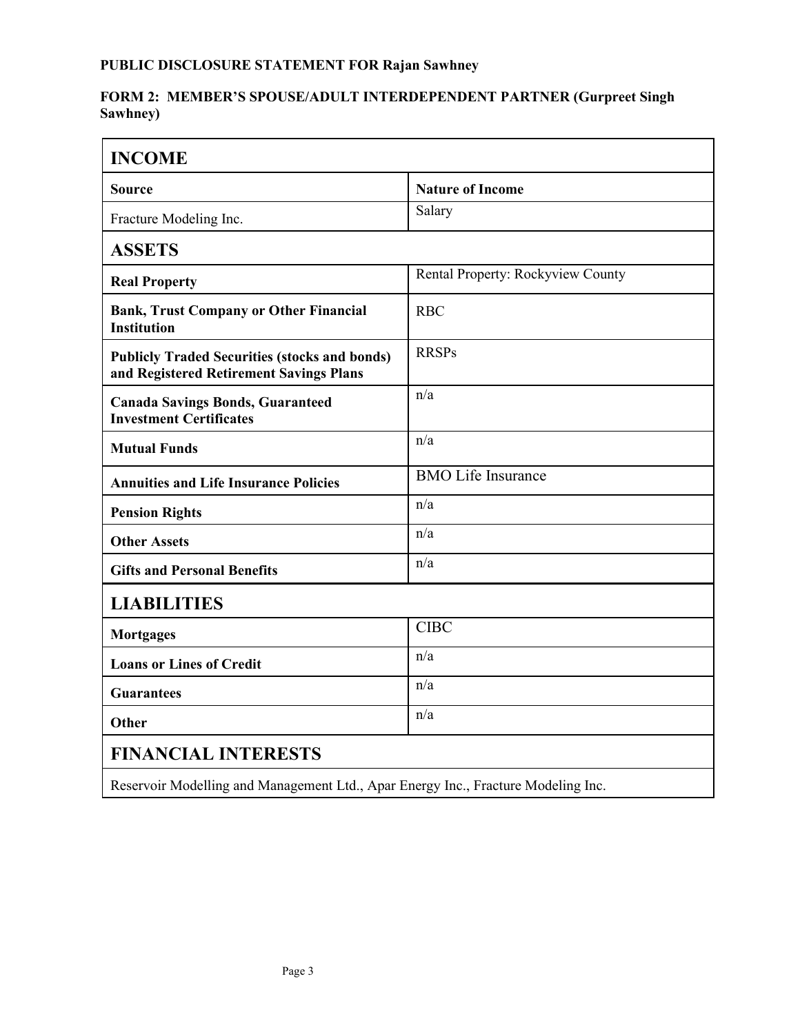#### **FORM 2: MEMBER'S SPOUSE/ADULT INTERDEPENDENT PARTNER (Gurpreet Singh Sawhney)**

| <b>INCOME</b>                                                                                   |                                   |  |
|-------------------------------------------------------------------------------------------------|-----------------------------------|--|
| <b>Source</b>                                                                                   | <b>Nature of Income</b>           |  |
| Fracture Modeling Inc.                                                                          | Salary                            |  |
| <b>ASSETS</b>                                                                                   |                                   |  |
| <b>Real Property</b>                                                                            | Rental Property: Rockyview County |  |
| <b>Bank, Trust Company or Other Financial</b><br><b>Institution</b>                             | <b>RBC</b>                        |  |
| <b>Publicly Traded Securities (stocks and bonds)</b><br>and Registered Retirement Savings Plans | <b>RRSPs</b>                      |  |
| <b>Canada Savings Bonds, Guaranteed</b><br><b>Investment Certificates</b>                       | n/a                               |  |
| <b>Mutual Funds</b>                                                                             | n/a                               |  |
| <b>Annuities and Life Insurance Policies</b>                                                    | <b>BMO</b> Life Insurance         |  |
| <b>Pension Rights</b>                                                                           | n/a                               |  |
| <b>Other Assets</b>                                                                             | n/a                               |  |
| <b>Gifts and Personal Benefits</b>                                                              | n/a                               |  |
| <b>LIABILITIES</b>                                                                              |                                   |  |
| <b>Mortgages</b>                                                                                | <b>CIBC</b>                       |  |
| <b>Loans or Lines of Credit</b>                                                                 | n/a                               |  |
| <b>Guarantees</b>                                                                               | n/a                               |  |
| Other                                                                                           | n/a                               |  |
| <b>FINANCIAL INTERESTS</b>                                                                      |                                   |  |
| Reservoir Modelling and Management Ltd., Apar Energy Inc., Fracture Modeling Inc.               |                                   |  |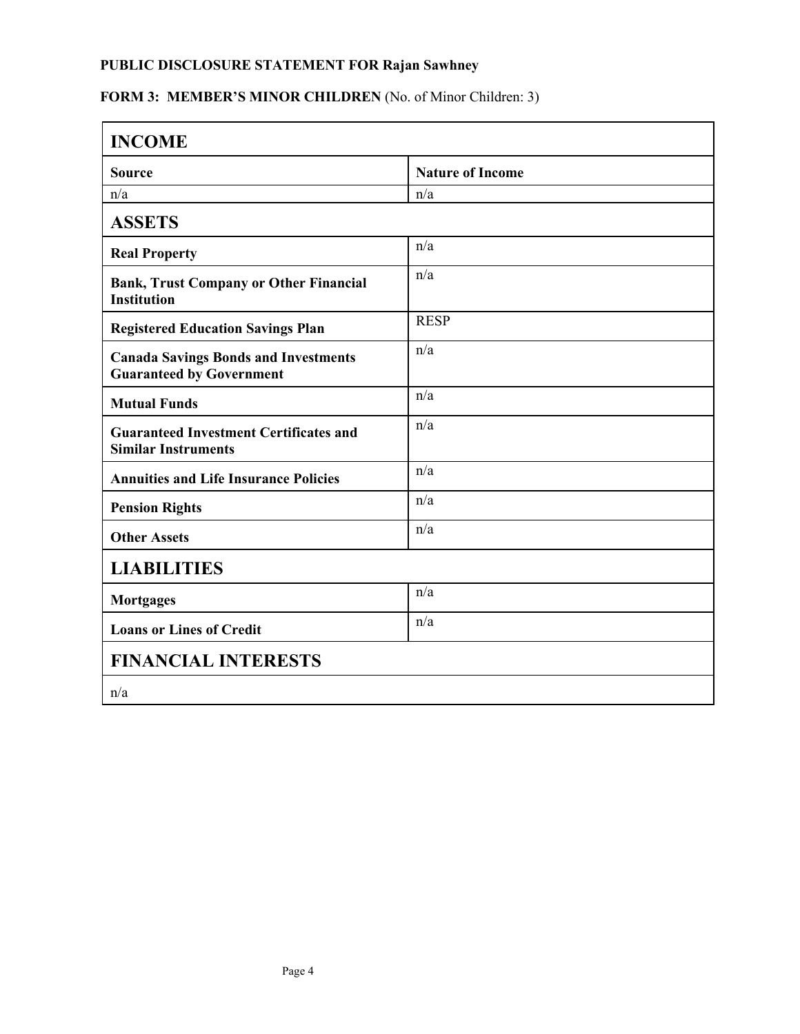## FORM 3: MEMBER'S MINOR CHILDREN (No. of Minor Children: 3)

| <b>INCOME</b>                                                                  |                         |  |
|--------------------------------------------------------------------------------|-------------------------|--|
| <b>Source</b>                                                                  | <b>Nature of Income</b> |  |
| n/a                                                                            | n/a                     |  |
| <b>ASSETS</b>                                                                  |                         |  |
| <b>Real Property</b>                                                           | n/a                     |  |
| <b>Bank, Trust Company or Other Financial</b><br><b>Institution</b>            | n/a                     |  |
| <b>Registered Education Savings Plan</b>                                       | <b>RESP</b>             |  |
| <b>Canada Savings Bonds and Investments</b><br><b>Guaranteed by Government</b> | n/a                     |  |
| <b>Mutual Funds</b>                                                            | n/a                     |  |
| <b>Guaranteed Investment Certificates and</b><br><b>Similar Instruments</b>    | n/a                     |  |
| <b>Annuities and Life Insurance Policies</b>                                   | n/a                     |  |
| <b>Pension Rights</b>                                                          | n/a                     |  |
| <b>Other Assets</b>                                                            | n/a                     |  |
| <b>LIABILITIES</b>                                                             |                         |  |
| <b>Mortgages</b>                                                               | n/a                     |  |
| <b>Loans or Lines of Credit</b>                                                | n/a                     |  |
| <b>FINANCIAL INTERESTS</b>                                                     |                         |  |
| n/a                                                                            |                         |  |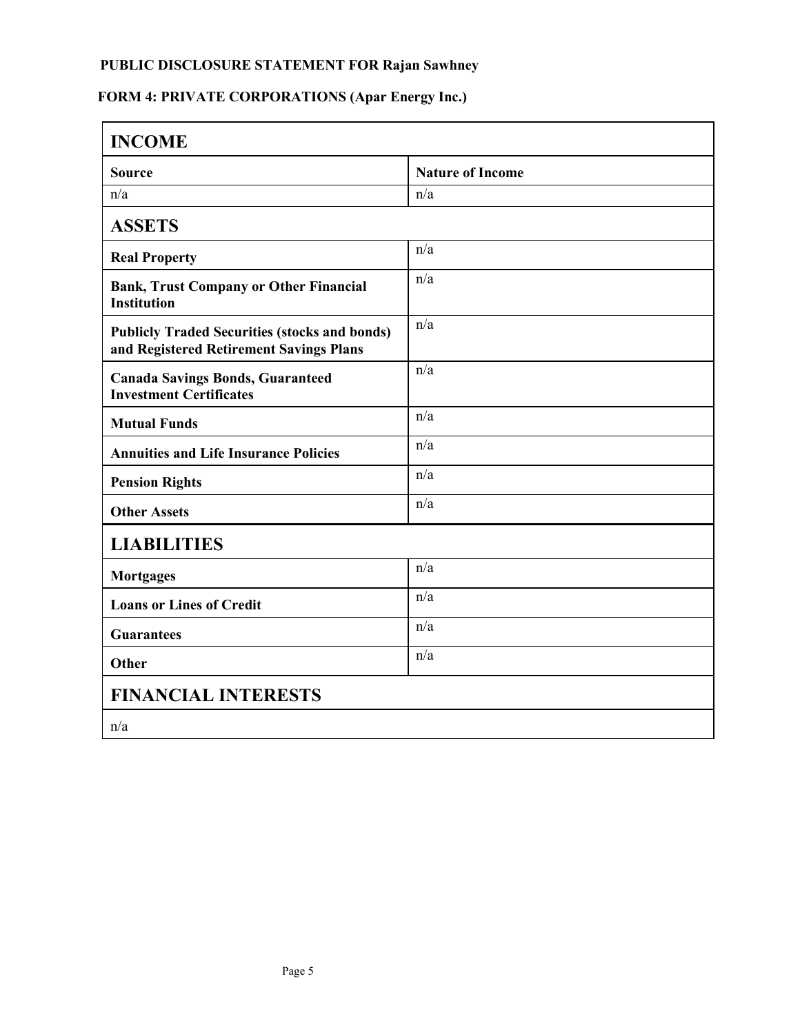# **FORM 4: PRIVATE CORPORATIONS (Apar Energy Inc.)**

| <b>INCOME</b>                                                                                   |                         |  |
|-------------------------------------------------------------------------------------------------|-------------------------|--|
| <b>Source</b>                                                                                   | <b>Nature of Income</b> |  |
| n/a                                                                                             | n/a                     |  |
| <b>ASSETS</b>                                                                                   |                         |  |
| <b>Real Property</b>                                                                            | n/a                     |  |
| <b>Bank, Trust Company or Other Financial</b><br><b>Institution</b>                             | n/a                     |  |
| <b>Publicly Traded Securities (stocks and bonds)</b><br>and Registered Retirement Savings Plans | n/a                     |  |
| <b>Canada Savings Bonds, Guaranteed</b><br><b>Investment Certificates</b>                       | n/a                     |  |
| <b>Mutual Funds</b>                                                                             | n/a                     |  |
| <b>Annuities and Life Insurance Policies</b>                                                    | n/a                     |  |
| <b>Pension Rights</b>                                                                           | n/a                     |  |
| <b>Other Assets</b>                                                                             | n/a                     |  |
| <b>LIABILITIES</b>                                                                              |                         |  |
| <b>Mortgages</b>                                                                                | n/a                     |  |
| <b>Loans or Lines of Credit</b>                                                                 | n/a                     |  |
| <b>Guarantees</b>                                                                               | n/a                     |  |
| Other                                                                                           | n/a                     |  |
| <b>FINANCIAL INTERESTS</b>                                                                      |                         |  |
| n/a                                                                                             |                         |  |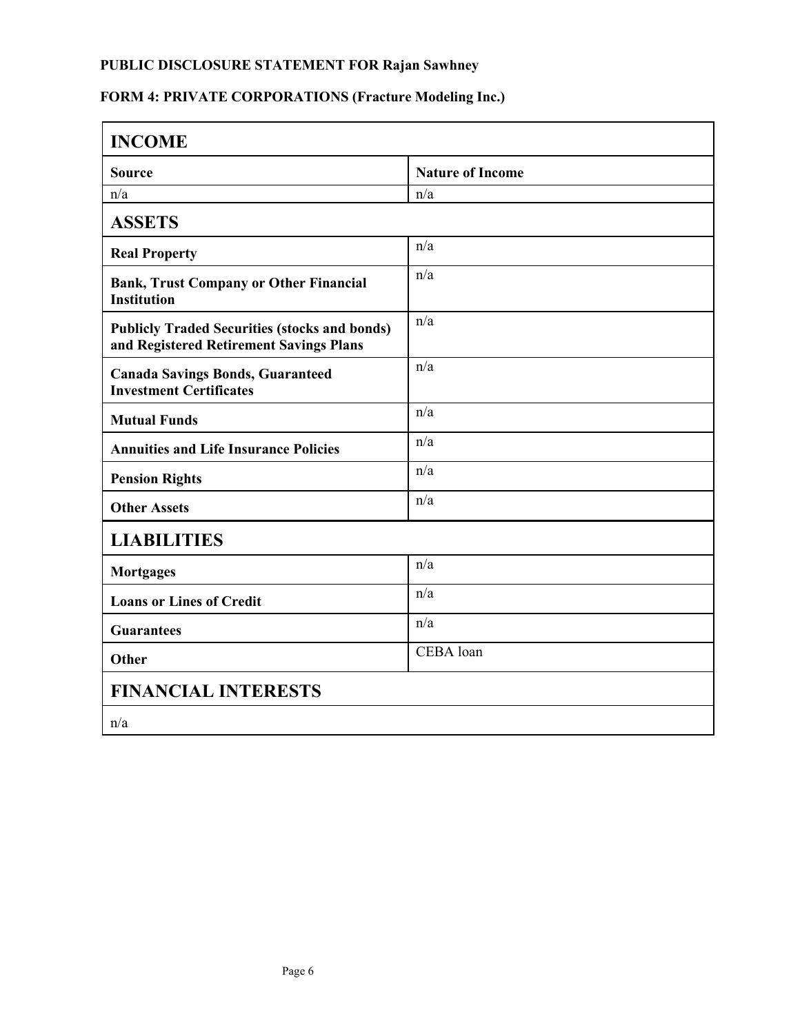# **FORM 4: PRIVATE CORPORATIONS (Fracture Modeling Inc.)**

| <b>INCOME</b>                                                                                   |                         |  |
|-------------------------------------------------------------------------------------------------|-------------------------|--|
| <b>Source</b>                                                                                   | <b>Nature of Income</b> |  |
| n/a                                                                                             | n/a                     |  |
| <b>ASSETS</b>                                                                                   |                         |  |
| <b>Real Property</b>                                                                            | n/a                     |  |
| <b>Bank, Trust Company or Other Financial</b><br><b>Institution</b>                             | n/a                     |  |
| <b>Publicly Traded Securities (stocks and bonds)</b><br>and Registered Retirement Savings Plans | n/a                     |  |
| <b>Canada Savings Bonds, Guaranteed</b><br><b>Investment Certificates</b>                       | n/a                     |  |
| <b>Mutual Funds</b>                                                                             | n/a                     |  |
| <b>Annuities and Life Insurance Policies</b>                                                    | n/a                     |  |
| <b>Pension Rights</b>                                                                           | n/a                     |  |
| <b>Other Assets</b>                                                                             | n/a                     |  |
| <b>LIABILITIES</b>                                                                              |                         |  |
| <b>Mortgages</b>                                                                                | n/a                     |  |
| <b>Loans or Lines of Credit</b>                                                                 | n/a                     |  |
| <b>Guarantees</b>                                                                               | n/a                     |  |
| Other                                                                                           | CEBA loan               |  |
| <b>FINANCIAL INTERESTS</b>                                                                      |                         |  |
| n/a                                                                                             |                         |  |